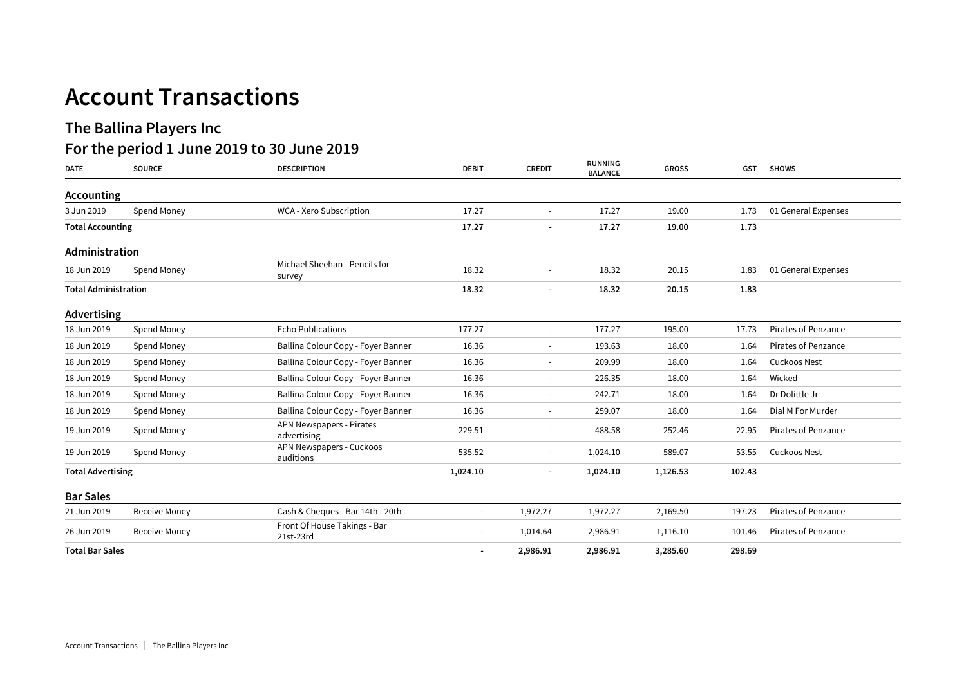# **The Ballina Players Inc**

# **For the period 1 June 2019 to 30 June 2019**

| <b>DATE</b>                 | <b>SOURCE</b> | <b>DESCRIPTION</b>                        | <b>DEBIT</b>             | <b>CREDIT</b>            | <b>RUNNING</b><br><b>BALANCE</b> | <b>GROSS</b> | <b>GST</b> | <b>SHOWS</b>               |
|-----------------------------|---------------|-------------------------------------------|--------------------------|--------------------------|----------------------------------|--------------|------------|----------------------------|
| Accounting                  |               |                                           |                          |                          |                                  |              |            |                            |
| 3 Jun 2019                  | Spend Money   | WCA - Xero Subscription                   | 17.27                    | $\overline{\phantom{a}}$ | 17.27                            | 19.00        | 1.73       | 01 General Expenses        |
| <b>Total Accounting</b>     |               | 17.27                                     | $\overline{\phantom{a}}$ | 17.27                    | 19.00                            | 1.73         |            |                            |
| Administration              |               |                                           |                          |                          |                                  |              |            |                            |
| 18 Jun 2019                 | Spend Money   | Michael Sheehan - Pencils for<br>survey   | 18.32                    |                          | 18.32                            | 20.15        | 1.83       | 01 General Expenses        |
| <b>Total Administration</b> |               |                                           | 18.32                    |                          | 18.32                            | 20.15        | 1.83       |                            |
| Advertising                 |               |                                           |                          |                          |                                  |              |            |                            |
| 18 Jun 2019                 | Spend Money   | <b>Echo Publications</b>                  | 177.27                   | $\overline{\phantom{a}}$ | 177.27                           | 195.00       | 17.73      | <b>Pirates of Penzance</b> |
| 18 Jun 2019                 | Spend Money   | Ballina Colour Copy - Foyer Banner        | 16.36                    | $\overline{\phantom{a}}$ | 193.63                           | 18.00        | 1.64       | Pirates of Penzance        |
| 18 Jun 2019                 | Spend Money   | Ballina Colour Copy - Foyer Banner        | 16.36                    | $\overline{\phantom{a}}$ | 209.99                           | 18.00        | 1.64       | Cuckoos Nest               |
| 18 Jun 2019                 | Spend Money   | Ballina Colour Copy - Foyer Banner        | 16.36                    | $\overline{\phantom{a}}$ | 226.35                           | 18.00        | 1.64       | Wicked                     |
| 18 Jun 2019                 | Spend Money   | Ballina Colour Copy - Foyer Banner        | 16.36                    | $\overline{\phantom{a}}$ | 242.71                           | 18.00        | 1.64       | Dr Dolittle Jr             |
| 18 Jun 2019                 | Spend Money   | Ballina Colour Copy - Foyer Banner        | 16.36                    | $\overline{\phantom{a}}$ | 259.07                           | 18.00        | 1.64       | Dial M For Murder          |
| 19 Jun 2019                 | Spend Money   | APN Newspapers - Pirates<br>advertising   | 229.51                   | $\tilde{\phantom{a}}$    | 488.58                           | 252.46       | 22.95      | <b>Pirates of Penzance</b> |
| 19 Jun 2019                 | Spend Money   | APN Newspapers - Cuckoos<br>auditions     | 535.52                   | $\sim$                   | 1,024.10                         | 589.07       | 53.55      | Cuckoos Nest               |
| <b>Total Advertising</b>    |               | 1,024.10                                  |                          | 1,024.10                 | 1,126.53                         | 102.43       |            |                            |
| <b>Bar Sales</b>            |               |                                           |                          |                          |                                  |              |            |                            |
| 21 Jun 2019                 | Receive Money | Cash & Cheques - Bar 14th - 20th          | $\overline{\phantom{a}}$ | 1,972.27                 | 1,972.27                         | 2,169.50     | 197.23     | <b>Pirates of Penzance</b> |
| 26 Jun 2019                 | Receive Money | Front Of House Takings - Bar<br>21st-23rd | $\sim$                   | 1,014.64                 | 2,986.91                         | 1,116.10     | 101.46     | <b>Pirates of Penzance</b> |
| <b>Total Bar Sales</b>      |               |                                           | $\overline{\phantom{a}}$ | 2,986.91                 | 2,986.91                         | 3,285.60     | 298.69     |                            |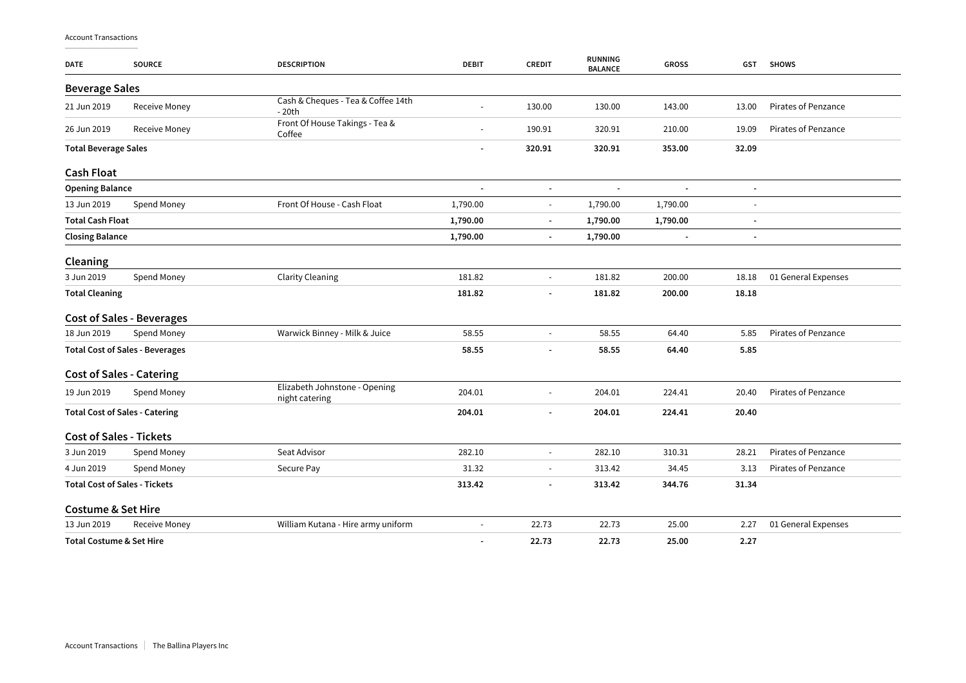| <b>DATE</b>                         | <b>SOURCE</b>                          | <b>DESCRIPTION</b>                              | <b>DEBIT</b>             | <b>CREDIT</b>            | <b>RUNNING</b><br><b>BALANCE</b> | <b>GROSS</b>             | GST                      | <b>SHOWS</b>               |
|-------------------------------------|----------------------------------------|-------------------------------------------------|--------------------------|--------------------------|----------------------------------|--------------------------|--------------------------|----------------------------|
| <b>Beverage Sales</b>               |                                        |                                                 |                          |                          |                                  |                          |                          |                            |
| 21 Jun 2019                         | <b>Receive Money</b>                   | Cash & Cheques - Tea & Coffee 14th<br>$-20th$   |                          | 130.00                   | 130.00                           | 143.00                   | 13.00                    | Pirates of Penzance        |
| 26 Jun 2019                         | <b>Receive Money</b>                   | Front Of House Takings - Tea &<br>Coffee        |                          | 190.91                   | 320.91                           | 210.00                   | 19.09                    | Pirates of Penzance        |
| <b>Total Beverage Sales</b>         |                                        | $\overline{\phantom{a}}$                        | 320.91                   | 320.91                   | 353.00                           | 32.09                    |                          |                            |
| <b>Cash Float</b>                   |                                        |                                                 |                          |                          |                                  |                          |                          |                            |
| <b>Opening Balance</b>              |                                        |                                                 | $\overline{\phantom{a}}$ | $\blacksquare$           | ÷,                               | $\blacksquare$           | ٠                        |                            |
| 13 Jun 2019                         | Spend Money                            | Front Of House - Cash Float                     | 1,790.00                 | $\blacksquare$           | 1,790.00                         | 1,790.00                 |                          |                            |
| <b>Total Cash Float</b>             |                                        |                                                 | 1,790.00                 | $\overline{\phantom{a}}$ | 1,790.00                         | 1,790.00                 | $\overline{a}$           |                            |
| <b>Closing Balance</b>              |                                        |                                                 | 1,790.00                 | $\overline{\phantom{a}}$ | 1,790.00                         | $\overline{\phantom{a}}$ | $\overline{\phantom{a}}$ |                            |
| Cleaning                            |                                        |                                                 |                          |                          |                                  |                          |                          |                            |
| 3 Jun 2019                          | Spend Money                            | <b>Clarity Cleaning</b>                         | 181.82                   | $\overline{a}$           | 181.82                           | 200.00                   | 18.18                    | 01 General Expenses        |
| <b>Total Cleaning</b>               |                                        |                                                 | 181.82                   | ä,                       | 181.82                           | 200.00                   | 18.18                    |                            |
|                                     | <b>Cost of Sales - Beverages</b>       |                                                 |                          |                          |                                  |                          |                          |                            |
| 18 Jun 2019                         | Spend Money                            | Warwick Binney - Milk & Juice                   | 58.55                    | $\overline{\phantom{a}}$ | 58.55                            | 64.40                    | 5.85                     | Pirates of Penzance        |
|                                     | <b>Total Cost of Sales - Beverages</b> |                                                 | 58.55                    |                          | 58.55                            | 64.40                    | 5.85                     |                            |
|                                     | <b>Cost of Sales - Catering</b>        |                                                 |                          |                          |                                  |                          |                          |                            |
| 19 Jun 2019                         | Spend Money                            | Elizabeth Johnstone - Opening<br>night catering | 204.01                   | L,                       | 204.01                           | 224.41                   | 20.40                    | Pirates of Penzance        |
|                                     | <b>Total Cost of Sales - Catering</b>  |                                                 | 204.01                   | $\blacksquare$           | 204.01                           | 224.41                   | 20.40                    |                            |
| <b>Cost of Sales - Tickets</b>      |                                        |                                                 |                          |                          |                                  |                          |                          |                            |
| 3 Jun 2019                          | Spend Money                            | Seat Advisor                                    | 282.10                   | $\sim$                   | 282.10                           | 310.31                   | 28.21                    | <b>Pirates of Penzance</b> |
| 4 Jun 2019                          | Spend Money                            | Secure Pay                                      | 31.32                    | $\overline{\phantom{a}}$ | 313.42                           | 34.45                    | 3.13                     | Pirates of Penzance        |
|                                     | <b>Total Cost of Sales - Tickets</b>   |                                                 | 313.42                   | ٠                        | 313.42                           | 344.76                   | 31.34                    |                            |
| <b>Costume &amp; Set Hire</b>       |                                        |                                                 |                          |                          |                                  |                          |                          |                            |
| 13 Jun 2019                         | <b>Receive Money</b>                   | William Kutana - Hire army uniform              |                          | 22.73                    | 22.73                            | 25.00                    | 2.27                     | 01 General Expenses        |
| <b>Total Costume &amp; Set Hire</b> |                                        |                                                 | $\overline{\phantom{a}}$ | 22.73                    | 22.73                            | 25.00                    | 2.27                     |                            |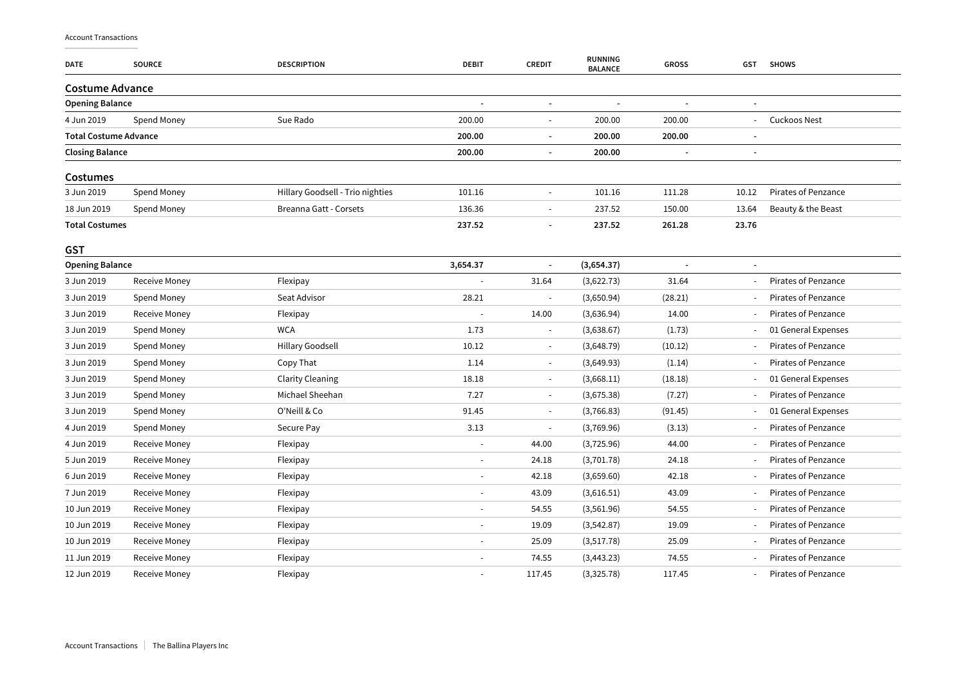| <b>DATE</b>                  | <b>SOURCE</b>        | <b>DESCRIPTION</b>               | <b>DEBIT</b> | <b>CREDIT</b>            | <b>RUNNING</b><br><b>BALANCE</b> | <b>GROSS</b> | <b>GST</b> | <b>SHOWS</b>               |
|------------------------------|----------------------|----------------------------------|--------------|--------------------------|----------------------------------|--------------|------------|----------------------------|
| <b>Costume Advance</b>       |                      |                                  |              |                          |                                  |              |            |                            |
| <b>Opening Balance</b>       |                      |                                  |              |                          |                                  |              |            |                            |
| 4 Jun 2019                   | Spend Money          | Sue Rado                         | 200.00       | $\sim$                   | 200.00                           | 200.00       |            | <b>Cuckoos Nest</b>        |
| <b>Total Costume Advance</b> |                      |                                  | 200.00       | $\overline{a}$           | 200.00                           | 200.00       |            |                            |
| <b>Closing Balance</b>       |                      |                                  | 200.00       |                          | 200.00                           |              |            |                            |
| Costumes                     |                      |                                  |              |                          |                                  |              |            |                            |
| 3 Jun 2019                   | Spend Money          | Hillary Goodsell - Trio nighties | 101.16       | $\blacksquare$           | 101.16                           | 111.28       | 10.12      | <b>Pirates of Penzance</b> |
| 18 Jun 2019                  | Spend Money          | Breanna Gatt - Corsets           | 136.36       | $\overline{\phantom{a}}$ | 237.52                           | 150.00       | 13.64      | Beauty & the Beast         |
| <b>Total Costumes</b>        |                      |                                  | 237.52       | $\blacksquare$           | 237.52                           | 261.28       | 23.76      |                            |
| <b>GST</b>                   |                      |                                  |              |                          |                                  |              |            |                            |
| <b>Opening Balance</b>       |                      |                                  | 3,654.37     |                          | (3,654.37)                       |              |            |                            |
| 3 Jun 2019                   | <b>Receive Money</b> | Flexipay                         |              | 31.64                    | (3,622.73)                       | 31.64        |            | <b>Pirates of Penzance</b> |
| 3 Jun 2019                   | Spend Money          | Seat Advisor                     | 28.21        | $\overline{\phantom{a}}$ | (3,650.94)                       | (28.21)      |            | <b>Pirates of Penzance</b> |
| 3 Jun 2019                   | Receive Money        | Flexipay                         |              | 14.00                    | (3,636.94)                       | 14.00        |            | Pirates of Penzance        |
| 3 Jun 2019                   | Spend Money          | <b>WCA</b>                       | 1.73         | $\overline{\phantom{a}}$ | (3,638.67)                       | (1.73)       |            | 01 General Expenses        |
| 3 Jun 2019                   | Spend Money          | Hillary Goodsell                 | 10.12        | $\overline{\phantom{a}}$ | (3,648.79)                       | (10.12)      |            | Pirates of Penzance        |
| 3 Jun 2019                   | Spend Money          | Copy That                        | 1.14         | $\sim$                   | (3,649.93)                       | (1.14)       |            | Pirates of Penzance        |
| 3 Jun 2019                   | Spend Money          | <b>Clarity Cleaning</b>          | 18.18        | $\sim$                   | (3,668.11)                       | (18.18)      |            | 01 General Expenses        |
| 3 Jun 2019                   | Spend Money          | Michael Sheehan                  | 7.27         | $\overline{\phantom{a}}$ | (3,675.38)                       | (7.27)       |            | <b>Pirates of Penzance</b> |
| 3 Jun 2019                   | Spend Money          | O'Neill & Co                     | 91.45        | $\sim$                   | (3,766.83)                       | (91.45)      |            | 01 General Expenses        |
| 4 Jun 2019                   | Spend Money          | Secure Pay                       | 3.13         | $\sim$                   | (3,769.96)                       | (3.13)       |            | <b>Pirates of Penzance</b> |
| 4 Jun 2019                   | <b>Receive Money</b> | Flexipay                         |              | 44.00                    | (3,725.96)                       | 44.00        |            | <b>Pirates of Penzance</b> |
| 5 Jun 2019                   | Receive Money        | Flexipay                         |              | 24.18                    | (3,701.78)                       | 24.18        |            | <b>Pirates of Penzance</b> |
| 6 Jun 2019                   | <b>Receive Money</b> | Flexipay                         |              | 42.18                    | (3,659.60)                       | 42.18        |            | Pirates of Penzance        |
| 7 Jun 2019                   | <b>Receive Money</b> | Flexipay                         |              | 43.09                    | (3,616.51)                       | 43.09        |            | Pirates of Penzance        |
| 10 Jun 2019                  | Receive Money        | Flexipay                         |              | 54.55                    | (3,561.96)                       | 54.55        |            | <b>Pirates of Penzance</b> |
| 10 Jun 2019                  | Receive Money        | Flexipay                         |              | 19.09                    | (3,542.87)                       | 19.09        |            | <b>Pirates of Penzance</b> |
| 10 Jun 2019                  | Receive Money        | Flexipay                         |              | 25.09                    | (3,517.78)                       | 25.09        |            | Pirates of Penzance        |
| 11 Jun 2019                  | <b>Receive Money</b> | Flexipay                         |              | 74.55                    | (3, 443.23)                      | 74.55        |            | Pirates of Penzance        |
| 12 Jun 2019                  | Receive Money        | Flexipay                         |              | 117.45                   | (3,325.78)                       | 117.45       |            | <b>Pirates of Penzance</b> |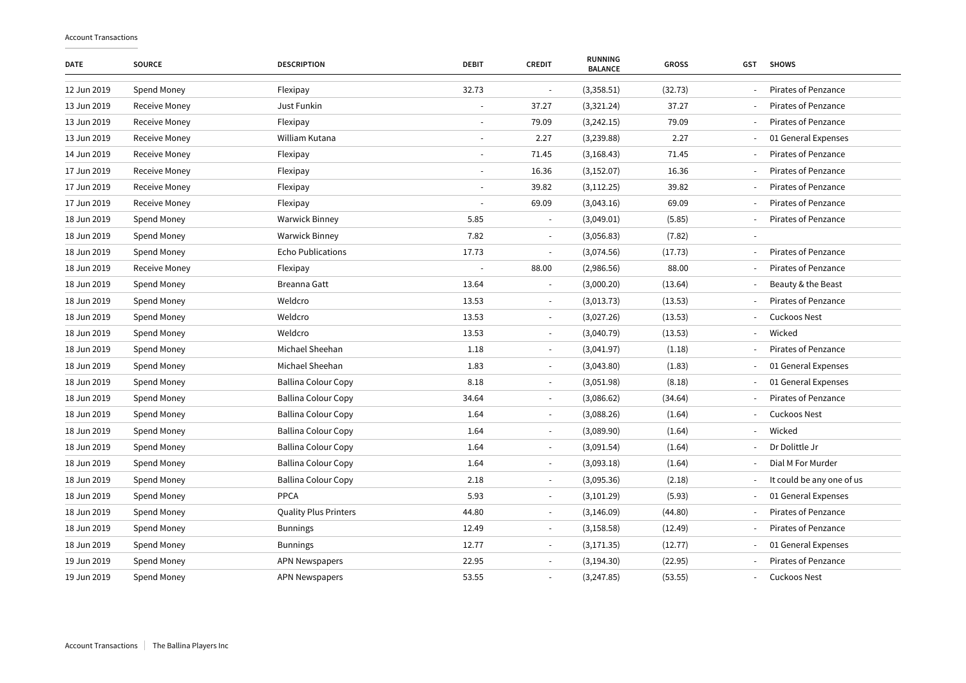| <b>DATE</b> | <b>SOURCE</b> | <b>DESCRIPTION</b>           | <b>DEBIT</b>   | <b>CREDIT</b>            | <b>RUNNING</b><br><b>BALANCE</b> | <b>GROSS</b> | GST | <b>SHOWS</b>               |
|-------------|---------------|------------------------------|----------------|--------------------------|----------------------------------|--------------|-----|----------------------------|
| 12 Jun 2019 | Spend Money   | Flexipay                     | 32.73          | ÷,                       | (3,358.51)                       | (32.73)      |     | <b>Pirates of Penzance</b> |
| 13 Jun 2019 | Receive Money | Just Funkin                  |                | 37.27                    | (3,321.24)                       | 37.27        |     | <b>Pirates of Penzance</b> |
| 13 Jun 2019 | Receive Money | Flexipay                     |                | 79.09                    | (3,242.15)                       | 79.09        |     | Pirates of Penzance        |
| 13 Jun 2019 | Receive Money | William Kutana               |                | 2.27                     | (3,239.88)                       | 2.27         |     | 01 General Expenses        |
| 14 Jun 2019 | Receive Money | Flexipay                     | $\blacksquare$ | 71.45                    | (3, 168.43)                      | 71.45        |     | <b>Pirates of Penzance</b> |
| 17 Jun 2019 | Receive Money | Flexipay                     | ä,             | 16.36                    | (3, 152.07)                      | 16.36        |     | <b>Pirates of Penzance</b> |
| 17 Jun 2019 | Receive Money | Flexipay                     |                | 39.82                    | (3, 112.25)                      | 39.82        |     | Pirates of Penzance        |
| 17 Jun 2019 | Receive Money | Flexipay                     |                | 69.09                    | (3,043.16)                       | 69.09        |     | <b>Pirates of Penzance</b> |
| 18 Jun 2019 | Spend Money   | <b>Warwick Binney</b>        | 5.85           |                          | (3,049.01)                       | (5.85)       |     | <b>Pirates of Penzance</b> |
| 18 Jun 2019 | Spend Money   | <b>Warwick Binney</b>        | 7.82           | $\frac{1}{2}$            | (3,056.83)                       | (7.82)       |     |                            |
| 18 Jun 2019 | Spend Money   | <b>Echo Publications</b>     | 17.73          | $\blacksquare$           | (3,074.56)                       | (17.73)      |     | <b>Pirates of Penzance</b> |
| 18 Jun 2019 | Receive Money | Flexipay                     |                | 88.00                    | (2,986.56)                       | 88.00        |     | Pirates of Penzance        |
| 18 Jun 2019 | Spend Money   | Breanna Gatt                 | 13.64          | ÷,                       | (3,000.20)                       | (13.64)      |     | Beauty & the Beast         |
| 18 Jun 2019 | Spend Money   | Weldcro                      | 13.53          |                          | (3,013.73)                       | (13.53)      |     | <b>Pirates of Penzance</b> |
| 18 Jun 2019 | Spend Money   | Weldcro                      | 13.53          | $\bar{a}$                | (3,027.26)                       | (13.53)      |     | <b>Cuckoos Nest</b>        |
| 18 Jun 2019 | Spend Money   | Weldcro                      | 13.53          |                          | (3,040.79)                       | (13.53)      |     | Wicked                     |
| 18 Jun 2019 | Spend Money   | Michael Sheehan              | 1.18           | L,                       | (3,041.97)                       | (1.18)       |     | Pirates of Penzance        |
| 18 Jun 2019 | Spend Money   | Michael Sheehan              | 1.83           | $\overline{\phantom{a}}$ | (3,043.80)                       | (1.83)       |     | 01 General Expenses        |
| 18 Jun 2019 | Spend Money   | <b>Ballina Colour Copy</b>   | 8.18           | $\overline{\phantom{m}}$ | (3,051.98)                       | (8.18)       |     | 01 General Expenses        |
| 18 Jun 2019 | Spend Money   | <b>Ballina Colour Copy</b>   | 34.64          | $\frac{1}{2}$            | (3,086.62)                       | (34.64)      |     | <b>Pirates of Penzance</b> |
| 18 Jun 2019 | Spend Money   | <b>Ballina Colour Copy</b>   | 1.64           | $\overline{\phantom{a}}$ | (3,088.26)                       | (1.64)       |     | <b>Cuckoos Nest</b>        |
| 18 Jun 2019 | Spend Money   | <b>Ballina Colour Copy</b>   | 1.64           | $\overline{\phantom{m}}$ | (3,089.90)                       | (1.64)       |     | Wicked                     |
| 18 Jun 2019 | Spend Money   | <b>Ballina Colour Copy</b>   | 1.64           | $\overline{\phantom{m}}$ | (3,091.54)                       | (1.64)       |     | Dr Dolittle Jr             |
| 18 Jun 2019 | Spend Money   | <b>Ballina Colour Copy</b>   | 1.64           | ÷                        | (3,093.18)                       | (1.64)       |     | Dial M For Murder          |
| 18 Jun 2019 | Spend Money   | <b>Ballina Colour Copy</b>   | 2.18           | $\overline{\phantom{a}}$ | (3,095.36)                       | (2.18)       |     | It could be any one of us  |
| 18 Jun 2019 | Spend Money   | PPCA                         | 5.93           | $\frac{1}{2}$            | (3, 101.29)                      | (5.93)       |     | 01 General Expenses        |
| 18 Jun 2019 | Spend Money   | <b>Quality Plus Printers</b> | 44.80          | $\blacksquare$           | (3, 146.09)                      | (44.80)      |     | Pirates of Penzance        |
| 18 Jun 2019 | Spend Money   | <b>Bunnings</b>              | 12.49          | $\overline{\phantom{a}}$ | (3, 158.58)                      | (12.49)      |     | Pirates of Penzance        |
| 18 Jun 2019 | Spend Money   | <b>Bunnings</b>              | 12.77          | ä,                       | (3, 171.35)                      | (12.77)      |     | 01 General Expenses        |
| 19 Jun 2019 | Spend Money   | <b>APN Newspapers</b>        | 22.95          |                          | (3, 194.30)                      | (22.95)      |     | <b>Pirates of Penzance</b> |
| 19 Jun 2019 | Spend Money   | <b>APN Newspapers</b>        | 53.55          | $\overline{a}$           | (3,247.85)                       | (53.55)      |     | Cuckoos Nest               |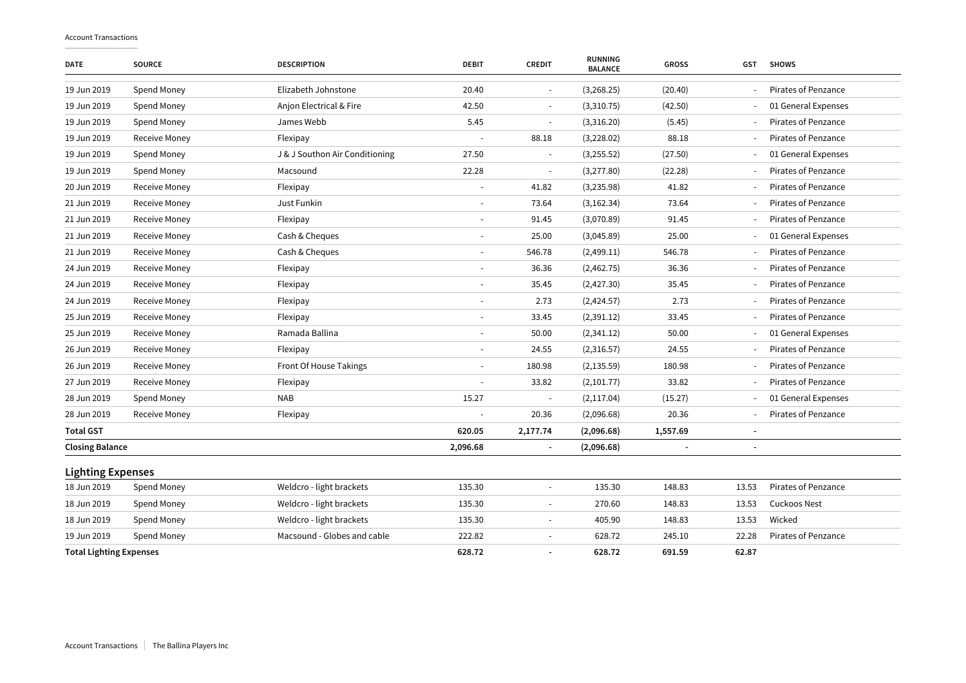| <b>DATE</b>                    | <b>SOURCE</b>        | <b>DESCRIPTION</b>             | <b>DEBIT</b> | <b>CREDIT</b>            | <b>RUNNING</b><br><b>BALANCE</b> | <b>GROSS</b> | <b>GST</b> | <b>SHOWS</b>               |
|--------------------------------|----------------------|--------------------------------|--------------|--------------------------|----------------------------------|--------------|------------|----------------------------|
| 19 Jun 2019                    | Spend Money          | Elizabeth Johnstone            | 20.40        | $\overline{\phantom{a}}$ | (3, 268.25)                      | (20.40)      |            | <b>Pirates of Penzance</b> |
| 19 Jun 2019                    | Spend Money          | Anjon Electrical & Fire        | 42.50        | $\overline{a}$           | (3,310.75)                       | (42.50)      |            | 01 General Expenses        |
| 19 Jun 2019                    | Spend Money          | James Webb                     | 5.45         | $\sim$                   | (3,316.20)                       | (5.45)       |            | Pirates of Penzance        |
| 19 Jun 2019                    | Receive Money        | Flexipay                       |              | 88.18                    | (3,228.02)                       | 88.18        |            | Pirates of Penzance        |
| 19 Jun 2019                    | Spend Money          | J & J Southon Air Conditioning | 27.50        | $\overline{\phantom{a}}$ | (3,255.52)                       | (27.50)      |            | 01 General Expenses        |
| 19 Jun 2019                    | Spend Money          | Macsound                       | 22.28        | $\sim$                   | (3,277.80)                       | (22.28)      |            | <b>Pirates of Penzance</b> |
| 20 Jun 2019                    | Receive Money        | Flexipay                       |              | 41.82                    | (3,235.98)                       | 41.82        |            | <b>Pirates of Penzance</b> |
| 21 Jun 2019                    | Receive Money        | Just Funkin                    |              | 73.64                    | (3, 162.34)                      | 73.64        |            | Pirates of Penzance        |
| 21 Jun 2019                    | Receive Money        | Flexipay                       |              | 91.45                    | (3,070.89)                       | 91.45        |            | Pirates of Penzance        |
| 21 Jun 2019                    | Receive Money        | Cash & Cheques                 |              | 25.00                    | (3,045.89)                       | 25.00        |            | 01 General Expenses        |
| 21 Jun 2019                    | Receive Money        | Cash & Cheques                 |              | 546.78                   | (2,499.11)                       | 546.78       |            | Pirates of Penzance        |
| 24 Jun 2019                    | Receive Money        | Flexipay                       |              | 36.36                    | (2,462.75)                       | 36.36        |            | <b>Pirates of Penzance</b> |
| 24 Jun 2019                    | Receive Money        | Flexipay                       |              | 35.45                    | (2,427.30)                       | 35.45        |            | <b>Pirates of Penzance</b> |
| 24 Jun 2019                    | Receive Money        | Flexipay                       |              | 2.73                     | (2,424.57)                       | 2.73         |            | Pirates of Penzance        |
| 25 Jun 2019                    | Receive Money        | Flexipay                       |              | 33.45                    | (2,391.12)                       | 33.45        |            | <b>Pirates of Penzance</b> |
| 25 Jun 2019                    | Receive Money        | Ramada Ballina                 |              | 50.00                    | (2,341.12)                       | 50.00        |            | 01 General Expenses        |
| 26 Jun 2019                    | Receive Money        | Flexipay                       |              | 24.55                    | (2,316.57)                       | 24.55        |            | Pirates of Penzance        |
| 26 Jun 2019                    | Receive Money        | Front Of House Takings         |              | 180.98                   | (2, 135.59)                      | 180.98       |            | <b>Pirates of Penzance</b> |
| 27 Jun 2019                    | Receive Money        | Flexipay                       |              | 33.82                    | (2,101.77)                       | 33.82        |            | <b>Pirates of Penzance</b> |
| 28 Jun 2019                    | Spend Money          | <b>NAB</b>                     | 15.27        | $\sim$                   | (2, 117.04)                      | (15.27)      |            | 01 General Expenses        |
| 28 Jun 2019                    | <b>Receive Money</b> | Flexipay                       |              | 20.36                    | (2,096.68)                       | 20.36        |            | Pirates of Penzance        |
| <b>Total GST</b>               |                      |                                | 620.05       | 2,177.74                 | (2,096.68)                       | 1,557.69     |            |                            |
| <b>Closing Balance</b>         |                      |                                | 2,096.68     | $\overline{\phantom{a}}$ | (2,096.68)                       |              |            |                            |
| <b>Lighting Expenses</b>       |                      |                                |              |                          |                                  |              |            |                            |
| 18 Jun 2019                    | Spend Money          | Weldcro - light brackets       | 135.30       | $\overline{\phantom{a}}$ | 135.30                           | 148.83       | 13.53      | <b>Pirates of Penzance</b> |
| 18 Jun 2019                    | Spend Money          | Weldcro - light brackets       | 135.30       | $\overline{a}$           | 270.60                           | 148.83       | 13.53      | <b>Cuckoos Nest</b>        |
| 18 Jun 2019                    | Spend Money          | Weldcro - light brackets       | 135.30       | $\overline{a}$           | 405.90                           | 148.83       | 13.53      | Wicked                     |
| 19 Jun 2019                    | Spend Money          | Macsound - Globes and cable    | 222.82       | ÷,                       | 628.72                           | 245.10       | 22.28      | <b>Pirates of Penzance</b> |
| <b>Total Lighting Expenses</b> |                      |                                | 628.72       | $\overline{a}$           | 628.72                           | 691.59       | 62.87      |                            |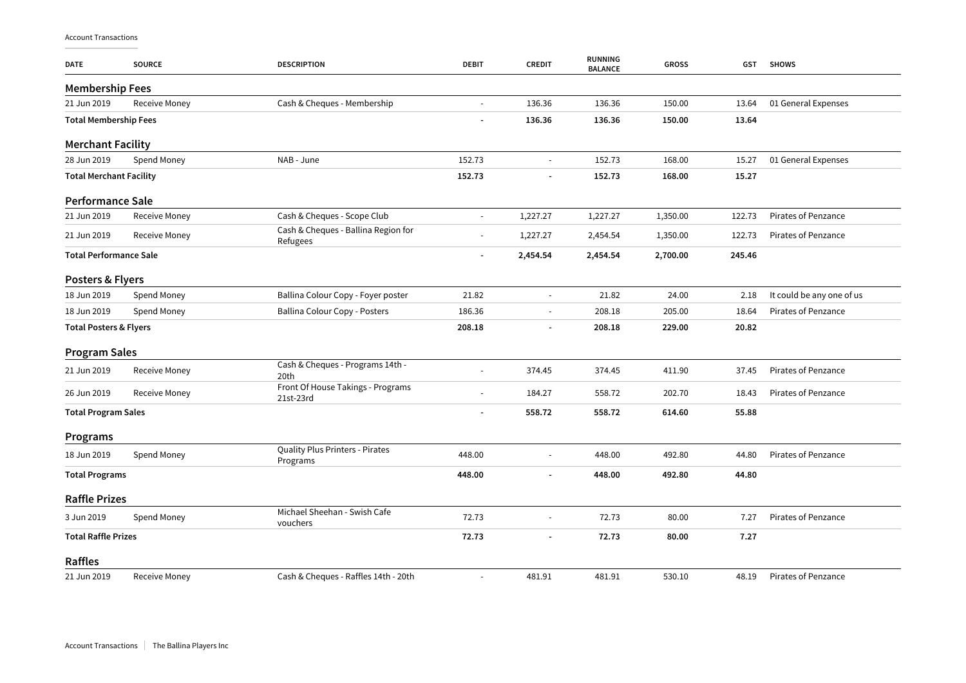| <b>DATE</b>                       | <b>SOURCE</b> | <b>DESCRIPTION</b>                              | <b>DEBIT</b>   | <b>CREDIT</b>            | <b>RUNNING</b><br><b>BALANCE</b> | <b>GROSS</b> | <b>GST</b> | <b>SHOWS</b>               |
|-----------------------------------|---------------|-------------------------------------------------|----------------|--------------------------|----------------------------------|--------------|------------|----------------------------|
| <b>Membership Fees</b>            |               |                                                 |                |                          |                                  |              |            |                            |
| 21 Jun 2019                       | Receive Money | Cash & Cheques - Membership                     |                | 136.36                   | 136.36                           | 150.00       | 13.64      | 01 General Expenses        |
| <b>Total Membership Fees</b>      |               |                                                 |                | 136.36                   | 136.36                           | 150.00       | 13.64      |                            |
| <b>Merchant Facility</b>          |               |                                                 |                |                          |                                  |              |            |                            |
| 28 Jun 2019                       | Spend Money   | NAB - June                                      | 152.73         | $\overline{\phantom{a}}$ | 152.73                           | 168.00       | 15.27      | 01 General Expenses        |
| <b>Total Merchant Facility</b>    |               |                                                 | 152.73         | ÷                        | 152.73                           | 168.00       | 15.27      |                            |
| Performance Sale                  |               |                                                 |                |                          |                                  |              |            |                            |
| 21 Jun 2019                       | Receive Money | Cash & Cheques - Scope Club                     | $\overline{a}$ | 1,227.27                 | 1,227.27                         | 1,350.00     | 122.73     | Pirates of Penzance        |
| 21 Jun 2019                       | Receive Money | Cash & Cheques - Ballina Region for<br>Refugees |                | 1,227.27                 | 2,454.54                         | 1,350.00     | 122.73     | <b>Pirates of Penzance</b> |
| <b>Total Performance Sale</b>     |               |                                                 |                | 2,454.54                 | 2,454.54                         | 2,700.00     | 245.46     |                            |
| Posters & Flyers                  |               |                                                 |                |                          |                                  |              |            |                            |
| 18 Jun 2019                       | Spend Money   | Ballina Colour Copy - Foyer poster              | 21.82          |                          | 21.82                            | 24.00        | 2.18       | It could be any one of us  |
| 18 Jun 2019                       | Spend Money   | Ballina Colour Copy - Posters                   | 186.36         | $\blacksquare$           | 208.18                           | 205.00       | 18.64      | <b>Pirates of Penzance</b> |
| <b>Total Posters &amp; Flyers</b> |               |                                                 | 208.18         | $\overline{a}$           | 208.18                           | 229.00       | 20.82      |                            |
| <b>Program Sales</b>              |               |                                                 |                |                          |                                  |              |            |                            |
| 21 Jun 2019                       | Receive Money | Cash & Cheques - Programs 14th -<br>20th        |                | 374.45                   | 374.45                           | 411.90       | 37.45      | Pirates of Penzance        |
| 26 Jun 2019                       | Receive Money | Front Of House Takings - Programs<br>21st-23rd  |                | 184.27                   | 558.72                           | 202.70       | 18.43      | Pirates of Penzance        |
| <b>Total Program Sales</b>        |               |                                                 |                | 558.72                   | 558.72                           | 614.60       | 55.88      |                            |
| Programs                          |               |                                                 |                |                          |                                  |              |            |                            |
| 18 Jun 2019                       | Spend Money   | Quality Plus Printers - Pirates<br>Programs     | 448.00         | $\overline{\phantom{a}}$ | 448.00                           | 492.80       | 44.80      | Pirates of Penzance        |
| <b>Total Programs</b>             |               |                                                 | 448.00         |                          | 448.00                           | 492.80       | 44.80      |                            |
| <b>Raffle Prizes</b>              |               |                                                 |                |                          |                                  |              |            |                            |
| 3 Jun 2019                        | Spend Money   | Michael Sheehan - Swish Cafe<br>vouchers        | 72.73          | L,                       | 72.73                            | 80.00        | 7.27       | Pirates of Penzance        |
| <b>Total Raffle Prizes</b>        |               |                                                 | 72.73          | ÷,                       | 72.73                            | 80.00        | 7.27       |                            |
| Raffles                           |               |                                                 |                |                          |                                  |              |            |                            |
| 21 Jun 2019                       | Receive Money | Cash & Cheques - Raffles 14th - 20th            |                | 481.91                   | 481.91                           | 530.10       | 48.19      | Pirates of Penzance        |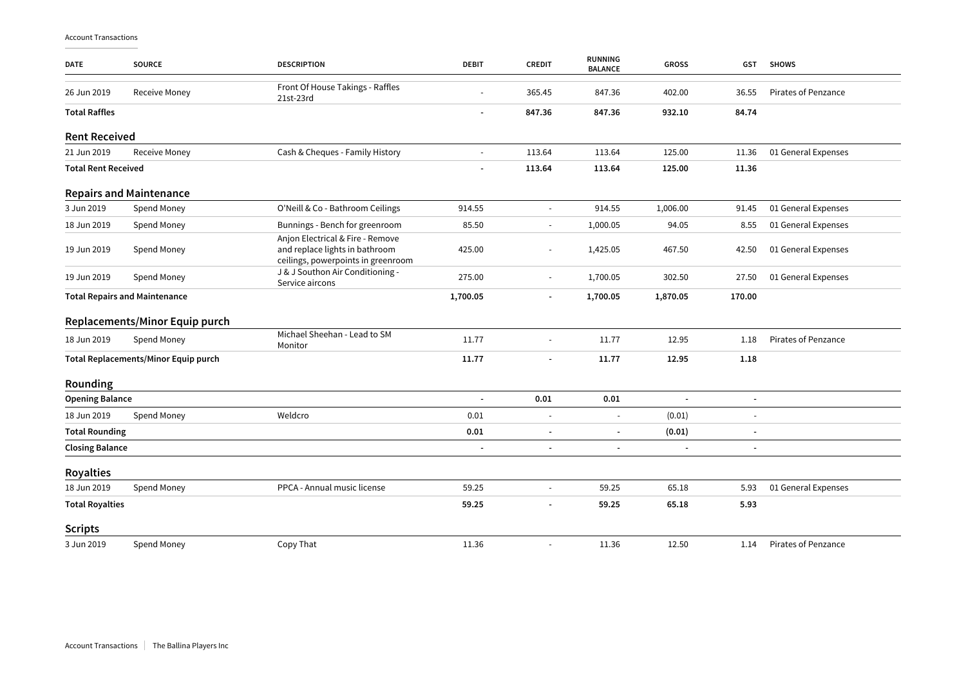| <b>DATE</b>                          | <b>SOURCE</b>                               | <b>DESCRIPTION</b>                                                                                       | <b>DEBIT</b>             | <b>CREDIT</b>         | <b>RUNNING</b><br><b>BALANCE</b> | <b>GROSS</b>   | <b>GST</b> | <b>SHOWS</b>               |
|--------------------------------------|---------------------------------------------|----------------------------------------------------------------------------------------------------------|--------------------------|-----------------------|----------------------------------|----------------|------------|----------------------------|
| 26 Jun 2019                          | <b>Receive Money</b>                        | Front Of House Takings - Raffles<br>21st-23rd                                                            |                          | 365.45                | 847.36                           | 402.00         | 36.55      | <b>Pirates of Penzance</b> |
| <b>Total Raffles</b>                 |                                             |                                                                                                          | $\blacksquare$           | 847.36                | 847.36                           | 932.10         | 84.74      |                            |
| <b>Rent Received</b>                 |                                             |                                                                                                          |                          |                       |                                  |                |            |                            |
| 21 Jun 2019                          | Receive Money                               | Cash & Cheques - Family History                                                                          | $\blacksquare$           | 113.64                | 113.64                           | 125.00         | 11.36      | 01 General Expenses        |
| <b>Total Rent Received</b>           |                                             |                                                                                                          |                          | 113.64                | 113.64                           | 125.00         | 11.36      |                            |
|                                      | <b>Repairs and Maintenance</b>              |                                                                                                          |                          |                       |                                  |                |            |                            |
| 3 Jun 2019                           | Spend Money                                 | O'Neill & Co - Bathroom Ceilings                                                                         | 914.55                   | $\sim$                | 914.55                           | 1,006.00       | 91.45      | 01 General Expenses        |
| 18 Jun 2019                          | Spend Money                                 | Bunnings - Bench for greenroom                                                                           | 85.50                    |                       | 1,000.05                         | 94.05          | 8.55       | 01 General Expenses        |
| 19 Jun 2019                          | Spend Money                                 | Anjon Electrical & Fire - Remove<br>and replace lights in bathroom<br>ceilings, powerpoints in greenroom | 425.00                   | $\sim$                | 1,425.05                         | 467.50         | 42.50      | 01 General Expenses        |
| 19 Jun 2019                          | Spend Money                                 | J & J Southon Air Conditioning -<br>Service aircons                                                      | 275.00                   | $\tilde{\phantom{a}}$ | 1,700.05                         | 302.50         | 27.50      | 01 General Expenses        |
| <b>Total Repairs and Maintenance</b> |                                             | 1,700.05                                                                                                 | $\overline{\phantom{a}}$ | 1,700.05              | 1,870.05                         | 170.00         |            |                            |
|                                      | Replacements/Minor Equip purch              |                                                                                                          |                          |                       |                                  |                |            |                            |
| 18 Jun 2019                          | Spend Money                                 | Michael Sheehan - Lead to SM<br>Monitor                                                                  | 11.77                    | $\blacksquare$        | 11.77                            | 12.95          | 1.18       | <b>Pirates of Penzance</b> |
|                                      | <b>Total Replacements/Minor Equip purch</b> |                                                                                                          | 11.77                    |                       | 11.77                            | 12.95          | 1.18       |                            |
| Rounding                             |                                             |                                                                                                          |                          |                       |                                  |                |            |                            |
| <b>Opening Balance</b>               |                                             |                                                                                                          | $\overline{a}$           | 0.01                  | 0.01                             | $\overline{a}$ |            |                            |
| 18 Jun 2019                          | Spend Money                                 | Weldcro                                                                                                  | 0.01                     | $\blacksquare$        | $\blacksquare$                   | (0.01)         |            |                            |
| <b>Total Rounding</b>                |                                             |                                                                                                          | 0.01                     |                       | ÷                                | (0.01)         |            |                            |
| <b>Closing Balance</b>               |                                             |                                                                                                          |                          |                       |                                  |                |            |                            |
| <b>Royalties</b>                     |                                             |                                                                                                          |                          |                       |                                  |                |            |                            |
| 18 Jun 2019                          | Spend Money                                 | PPCA - Annual music license                                                                              | 59.25                    |                       | 59.25                            | 65.18          | 5.93       | 01 General Expenses        |
| <b>Total Royalties</b>               |                                             |                                                                                                          | 59.25                    |                       | 59.25                            | 65.18          | 5.93       |                            |
| <b>Scripts</b>                       |                                             |                                                                                                          |                          |                       |                                  |                |            |                            |
| 3 Jun 2019                           | Spend Money                                 | Copy That                                                                                                | 11.36                    | $\blacksquare$        | 11.36                            | 12.50          | 1.14       | <b>Pirates of Penzance</b> |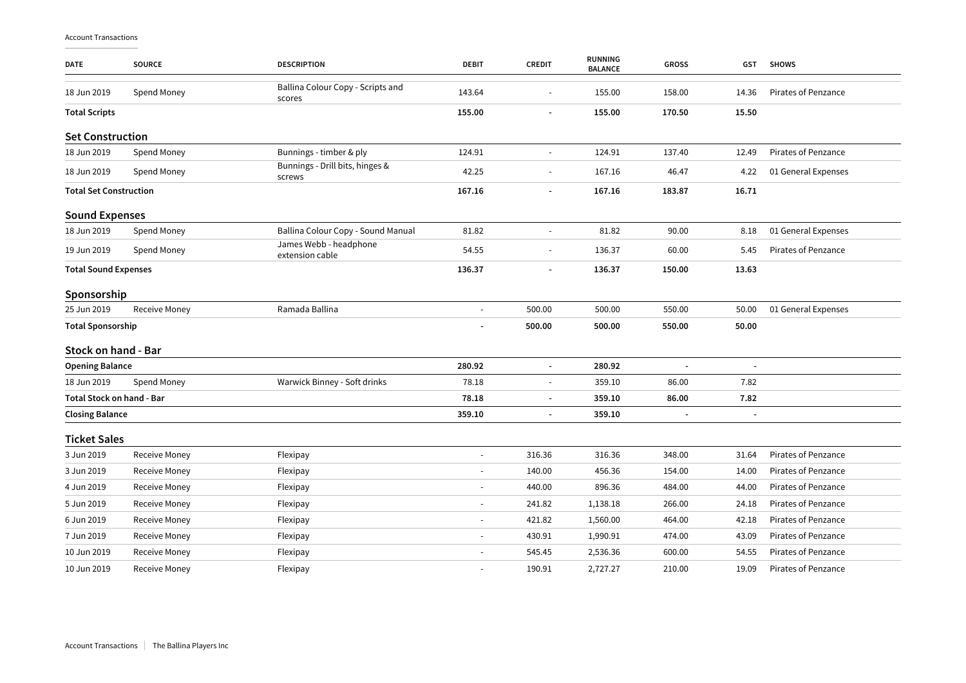| <b>DATE</b>                      | <b>SOURCE</b>        | <b>DESCRIPTION</b>                          | <b>DEBIT</b>             | <b>CREDIT</b>            | <b>RUNNING</b><br><b>BALANCE</b> | <b>GROSS</b>   | GST   | <b>SHOWS</b>               |
|----------------------------------|----------------------|---------------------------------------------|--------------------------|--------------------------|----------------------------------|----------------|-------|----------------------------|
| 18 Jun 2019                      | Spend Money          | Ballina Colour Copy - Scripts and<br>scores | 143.64                   |                          | 155.00                           | 158.00         | 14.36 | <b>Pirates of Penzance</b> |
| <b>Total Scripts</b>             |                      |                                             | 155.00                   |                          | 155.00                           | 170.50         | 15.50 |                            |
| <b>Set Construction</b>          |                      |                                             |                          |                          |                                  |                |       |                            |
| 18 Jun 2019                      | Spend Money          | Bunnings - timber & ply                     | 124.91                   |                          | 124.91                           | 137.40         | 12.49 | Pirates of Penzance        |
| 18 Jun 2019                      | Spend Money          | Bunnings - Drill bits, hinges &<br>screws   | 42.25                    | $\sim$                   | 167.16                           | 46.47          | 4.22  | 01 General Expenses        |
| <b>Total Set Construction</b>    |                      |                                             | 167.16                   | $\overline{a}$           | 167.16                           | 183.87         | 16.71 |                            |
| <b>Sound Expenses</b>            |                      |                                             |                          |                          |                                  |                |       |                            |
| 18 Jun 2019                      | Spend Money          | Ballina Colour Copy - Sound Manual          | 81.82                    | $\sim$                   | 81.82                            | 90.00          | 8.18  | 01 General Expenses        |
| 19 Jun 2019                      | Spend Money          | James Webb - headphone<br>extension cable   | 54.55                    | $\overline{\phantom{a}}$ | 136.37                           | 60.00          | 5.45  | Pirates of Penzance        |
| <b>Total Sound Expenses</b>      |                      | 136.37                                      |                          | 136.37                   | 150.00                           | 13.63          |       |                            |
| Sponsorship                      |                      |                                             |                          |                          |                                  |                |       |                            |
| 25 Jun 2019                      | <b>Receive Money</b> | Ramada Ballina                              | $\omega$                 | 500.00                   | 500.00                           | 550.00         | 50.00 | 01 General Expenses        |
| <b>Total Sponsorship</b>         |                      |                                             |                          | 500.00                   | 500.00                           | 550.00         | 50.00 |                            |
| Stock on hand - Bar              |                      |                                             |                          |                          |                                  |                |       |                            |
| <b>Opening Balance</b>           |                      |                                             | 280.92                   | $\blacksquare$           | 280.92                           | ÷,             |       |                            |
| 18 Jun 2019                      | Spend Money          | Warwick Binney - Soft drinks                | 78.18                    |                          | 359.10                           | 86.00          | 7.82  |                            |
| <b>Total Stock on hand - Bar</b> |                      |                                             | 78.18                    |                          | 359.10                           | 86.00          | 7.82  |                            |
| <b>Closing Balance</b>           |                      |                                             | 359.10                   | $\blacksquare$           | 359.10                           | $\overline{a}$ |       |                            |
| <b>Ticket Sales</b>              |                      |                                             |                          |                          |                                  |                |       |                            |
| 3 Jun 2019                       | <b>Receive Money</b> | Flexipay                                    | ÷,                       | 316.36                   | 316.36                           | 348.00         | 31.64 | Pirates of Penzance        |
| 3 Jun 2019                       | Receive Money        | Flexipay                                    | $\overline{\phantom{a}}$ | 140.00                   | 456.36                           | 154.00         | 14.00 | Pirates of Penzance        |
| 4 Jun 2019                       | <b>Receive Money</b> | Flexipay                                    | $\blacksquare$           | 440.00                   | 896.36                           | 484.00         | 44.00 | <b>Pirates of Penzance</b> |
| 5 Jun 2019                       | Receive Money        | Flexipay                                    | $\overline{\phantom{a}}$ | 241.82                   | 1,138.18                         | 266.00         | 24.18 | Pirates of Penzance        |
| 6 Jun 2019                       | Receive Money        | Flexipay                                    | $\overline{\phantom{a}}$ | 421.82                   | 1,560.00                         | 464.00         | 42.18 | <b>Pirates of Penzance</b> |
| 7 Jun 2019                       | Receive Money        | Flexipay                                    | $\blacksquare$           | 430.91                   | 1,990.91                         | 474.00         | 43.09 | <b>Pirates of Penzance</b> |
| 10 Jun 2019                      | Receive Money        | Flexipay                                    |                          | 545.45                   | 2,536.36                         | 600.00         | 54.55 | Pirates of Penzance        |
| 10 Jun 2019                      | <b>Receive Money</b> | Flexipay                                    | $\sim$                   | 190.91                   | 2,727.27                         | 210.00         | 19.09 | <b>Pirates of Penzance</b> |